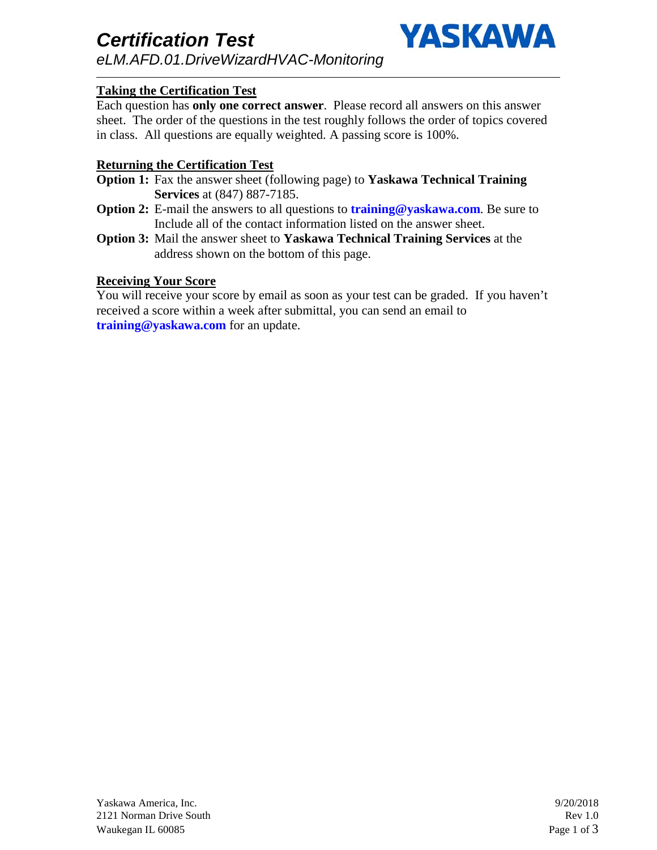

# **Taking the Certification Test**

Each question has **only one correct answer**. Please record all answers on this answer sheet. The order of the questions in the test roughly follows the order of topics covered in class. All questions are equally weighted. A passing score is 100%.

#### **Returning the Certification Test**

- **Option 1:** Fax the answer sheet (following page) to **Yaskawa Technical Training Services** at (847) 887-7185.
- **Option 2:** E-mail the answers to all questions to **training@yaskawa.com**. Be sure to Include all of the contact information listed on the answer sheet.
- **Option 3:** Mail the answer sheet to **Yaskawa Technical Training Services** at the address shown on the bottom of this page.

#### **Receiving Your Score**

You will receive your score by email as soon as your test can be graded. If you haven't received a score within a week after submittal, you can send an email to **training@yaskawa.com** for an update.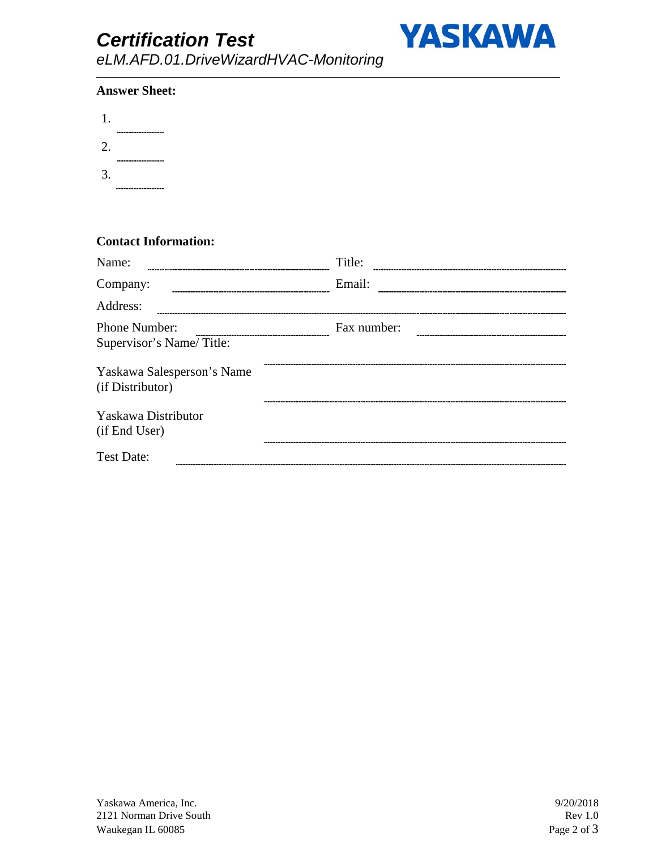# *Certification Test*



*eLM.AFD.01.DriveWizardHVAC-Monitoring*

#### **Answer Sheet:**

| 1. |                        |
|----|------------------------|
| 2. | ---------------------- |
|    | --------------------   |
| 3. | ------------------     |

## **Contact Information:**

| Name:                                          | Title:      |  |
|------------------------------------------------|-------------|--|
| Company:                                       | Email:      |  |
| Address:                                       |             |  |
| Phone Number:<br>Supervisor's Name/Title:      | Fax number: |  |
| Yaskawa Salesperson's Name<br>(if Distributor) |             |  |
| Yaskawa Distributor<br>(if End User)           |             |  |
| <b>Test Date:</b>                              |             |  |